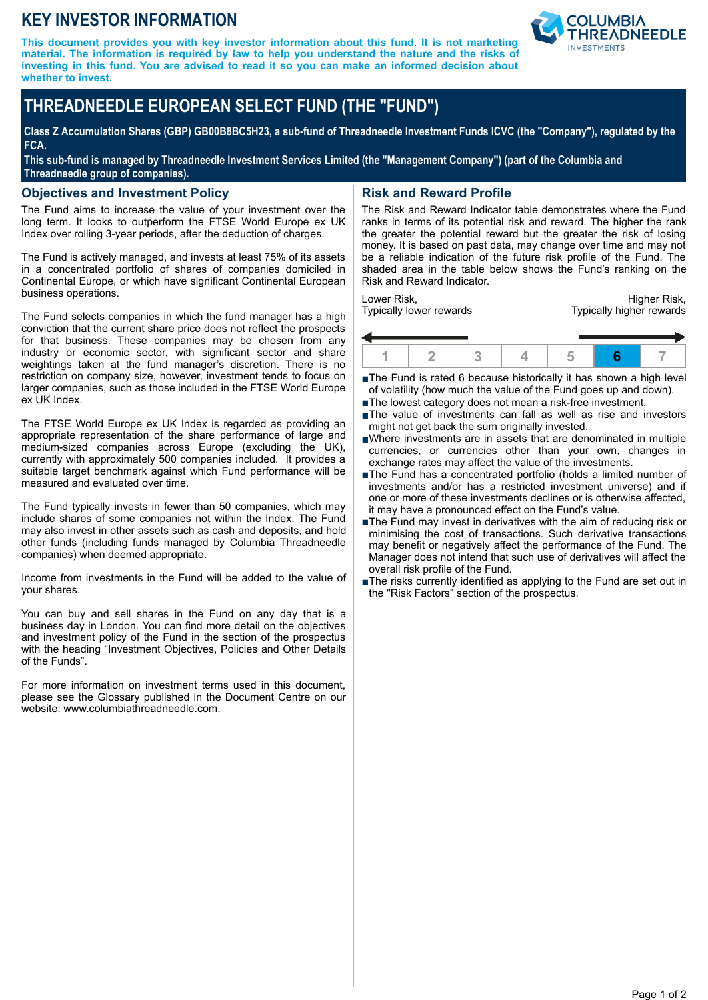## **KEY INVESTOR INFORMATION**

**This document provides you with key investor information about this fund. It is not marketing material. The information is required by law to help you understand the nature and the risks of investing in this fund. You are advised to read it so you can make an informed decision about whether to invest.**



# **THREADNEEDLE EUROPEAN SELECT FUND (THE "FUND")**

**Class Z Accumulation Shares (GBP) GB00B8BC5H23, a sub-fund of Threadneedle Investment Funds ICVC (the "Company"), regulated by the FCA.**

**This sub-fund is managed by Threadneedle Investment Services Limited (the "Management Company") (part of the Columbia and Threadneedle group of companies).**

#### **Objectives and Investment Policy**

The Fund aims to increase the value of your investment over the long term. It looks to outperform the FTSE World Europe ex UK Index over rolling 3-year periods, after the deduction of charges.

The Fund is actively managed, and invests at least 75% of its assets in a concentrated portfolio of shares of companies domiciled in Continental Europe, or which have significant Continental European business operations.

The Fund selects companies in which the fund manager has a high conviction that the current share price does not reflect the prospects for that business. These companies may be chosen from any industry or economic sector, with significant sector and share weightings taken at the fund manager's discretion. There is no restriction on company size, however, investment tends to focus on larger companies, such as those included in the FTSE World Europe ex UK Index.

The FTSE World Europe ex UK Index is regarded as providing an appropriate representation of the share performance of large and medium-sized companies across Europe (excluding the UK), currently with approximately 500 companies included. It provides a suitable target benchmark against which Fund performance will be measured and evaluated over time.

The Fund typically invests in fewer than 50 companies, which may include shares of some companies not within the Index. The Fund may also invest in other assets such as cash and deposits, and hold other funds (including funds managed by Columbia Threadneedle companies) when deemed appropriate.

Income from investments in the Fund will be added to the value of your shares.

You can buy and sell shares in the Fund on any day that is a business day in London. You can find more detail on the objectives and investment policy of the Fund in the section of the prospectus with the heading "Investment Objectives, Policies and Other Details of the Funds".

For more information on investment terms used in this document, please see the Glossary published in the Document Centre on our website: www.columbiathreadneedle.com.

### **Risk and Reward Profile**

The Risk and Reward Indicator table demonstrates where the Fund ranks in terms of its potential risk and reward. The higher the rank the greater the potential reward but the greater the risk of losing money. It is based on past data, may change over time and may not be a reliable indication of the future risk profile of the Fund. The shaded area in the table below shows the Fund's ranking on the Risk and Reward Indicator.

Lower Risk, Typically lower rewards

Higher Risk, Typically higher rewards



■The Fund is rated 6 because historically it has shown a high level of volatility (how much the value of the Fund goes up and down).

- ■The lowest category does not mean a risk-free investment.
- nThe value of investments can fall as well as rise and investors might not get back the sum originally invested.
- nWhere investments are in assets that are denominated in multiple currencies, or currencies other than your own, changes in exchange rates may affect the value of the investments.
- nThe Fund has a concentrated portfolio (holds a limited number of investments and/or has a restricted investment universe) and if one or more of these investments declines or is otherwise affected, it may have a pronounced effect on the Fund's value.
- The Fund may invest in derivatives with the aim of reducing risk or minimising the cost of transactions. Such derivative transactions may benefit or negatively affect the performance of the Fund. The Manager does not intend that such use of derivatives will affect the overall risk profile of the Fund.
- nThe risks currently identified as applying to the Fund are set out in the "Risk Factors" section of the prospectus.